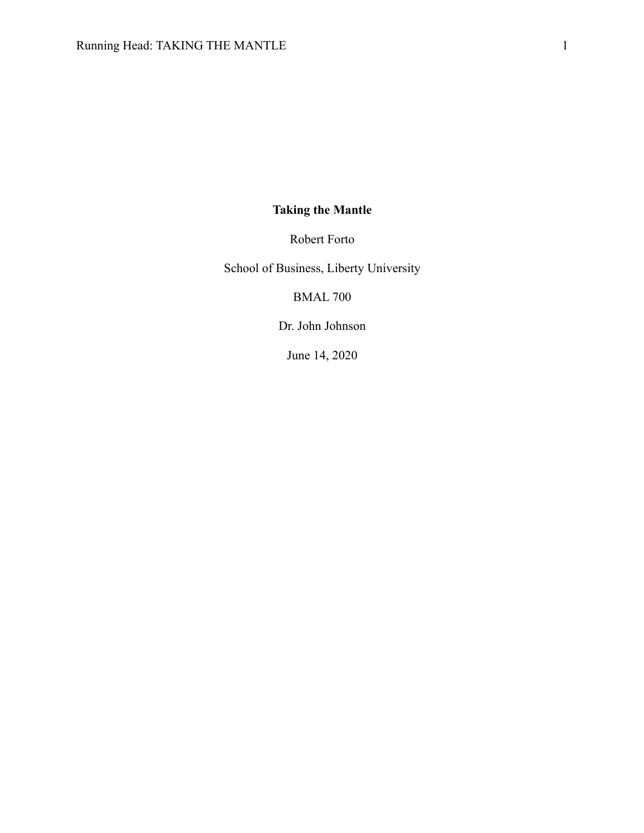# **Taking the Mantle**

Robert Forto

School of Business, Liberty University

BMAL 700

Dr. John Johnson

June 14, 2020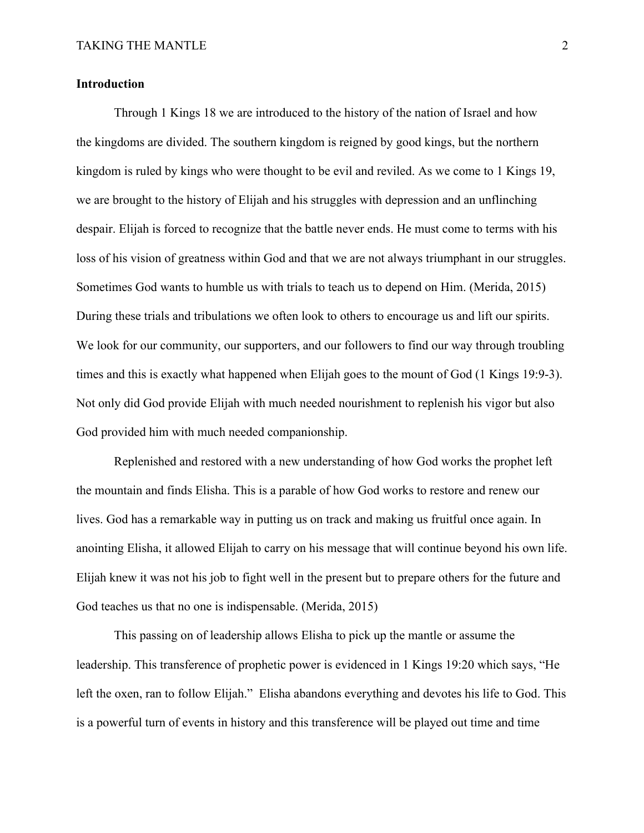## **Introduction**

Through 1 Kings 18 we are introduced to the history of the nation of Israel and how the kingdoms are divided. The southern kingdom is reigned by good kings, but the northern kingdom is ruled by kings who were thought to be evil and reviled. As we come to 1 Kings 19, we are brought to the history of Elijah and his struggles with depression and an unflinching despair. Elijah is forced to recognize that the battle never ends. He must come to terms with his loss of his vision of greatness within God and that we are not always triumphant in our struggles. Sometimes God wants to humble us with trials to teach us to depend on Him. (Merida, 2015) During these trials and tribulations we often look to others to encourage us and lift our spirits. We look for our community, our supporters, and our followers to find our way through troubling times and this is exactly what happened when Elijah goes to the mount of God (1 Kings 19:9-3). Not only did God provide Elijah with much needed nourishment to replenish his vigor but also God provided him with much needed companionship.

Replenished and restored with a new understanding of how God works the prophet left the mountain and finds Elisha. This is a parable of how God works to restore and renew our lives. God has a remarkable way in putting us on track and making us fruitful once again. In anointing Elisha, it allowed Elijah to carry on his message that will continue beyond his own life. Elijah knew it was not his job to fight well in the present but to prepare others for the future and God teaches us that no one is indispensable. (Merida, 2015)

This passing on of leadership allows Elisha to pick up the mantle or assume the leadership. This transference of prophetic power is evidenced in 1 Kings 19:20 which says, "He left the oxen, ran to follow Elijah." Elisha abandons everything and devotes his life to God. This is a powerful turn of events in history and this transference will be played out time and time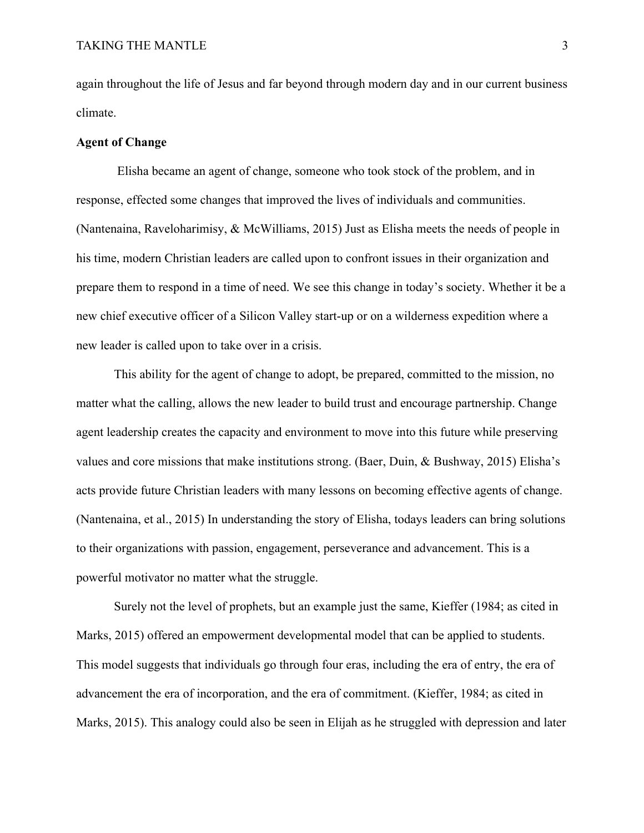again throughout the life of Jesus and far beyond through modern day and in our current business climate.

#### **Agent of Change**

Elisha became an agent of change, someone who took stock of the problem, and in response, effected some changes that improved the lives of individuals and communities. (Nantenaina, Raveloharimisy, & McWilliams, 2015) Just as Elisha meets the needs of people in his time, modern Christian leaders are called upon to confront issues in their organization and prepare them to respond in a time of need. We see this change in today's society. Whether it be a new chief executive officer of a Silicon Valley start-up or on a wilderness expedition where a new leader is called upon to take over in a crisis.

This ability for the agent of change to adopt, be prepared, committed to the mission, no matter what the calling, allows the new leader to build trust and encourage partnership. Change agent leadership creates the capacity and environment to move into this future while preserving values and core missions that make institutions strong. (Baer, Duin, & Bushway, 2015) Elisha's acts provide future Christian leaders with many lessons on becoming effective agents of change. (Nantenaina, et al., 2015) In understanding the story of Elisha, todays leaders can bring solutions to their organizations with passion, engagement, perseverance and advancement. This is a powerful motivator no matter what the struggle.

Surely not the level of prophets, but an example just the same, Kieffer (1984; as cited in Marks, 2015) offered an empowerment developmental model that can be applied to students. This model suggests that individuals go through four eras, including the era of entry, the era of advancement the era of incorporation, and the era of commitment. (Kieffer, 1984; as cited in Marks, 2015). This analogy could also be seen in Elijah as he struggled with depression and later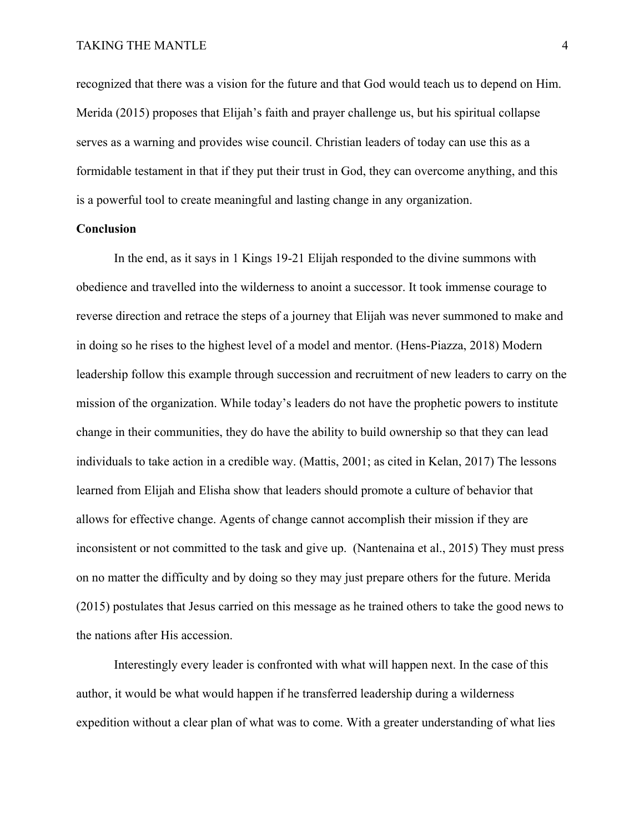recognized that there was a vision for the future and that God would teach us to depend on Him. Merida (2015) proposes that Elijah's faith and prayer challenge us, but his spiritual collapse serves as a warning and provides wise council. Christian leaders of today can use this as a formidable testament in that if they put their trust in God, they can overcome anything, and this is a powerful tool to create meaningful and lasting change in any organization.

#### **Conclusion**

In the end, as it says in 1 Kings 19-21 Elijah responded to the divine summons with obedience and travelled into the wilderness to anoint a successor. It took immense courage to reverse direction and retrace the steps of a journey that Elijah was never summoned to make and in doing so he rises to the highest level of a model and mentor. (Hens-Piazza, 2018) Modern leadership follow this example through succession and recruitment of new leaders to carry on the mission of the organization. While today's leaders do not have the prophetic powers to institute change in their communities, they do have the ability to build ownership so that they can lead individuals to take action in a credible way. (Mattis, 2001; as cited in Kelan, 2017) The lessons learned from Elijah and Elisha show that leaders should promote a culture of behavior that allows for effective change. Agents of change cannot accomplish their mission if they are inconsistent or not committed to the task and give up. (Nantenaina et al., 2015) They must press on no matter the difficulty and by doing so they may just prepare others for the future. Merida (2015) postulates that Jesus carried on this message as he trained others to take the good news to the nations after His accession.

Interestingly every leader is confronted with what will happen next. In the case of this author, it would be what would happen if he transferred leadership during a wilderness expedition without a clear plan of what was to come. With a greater understanding of what lies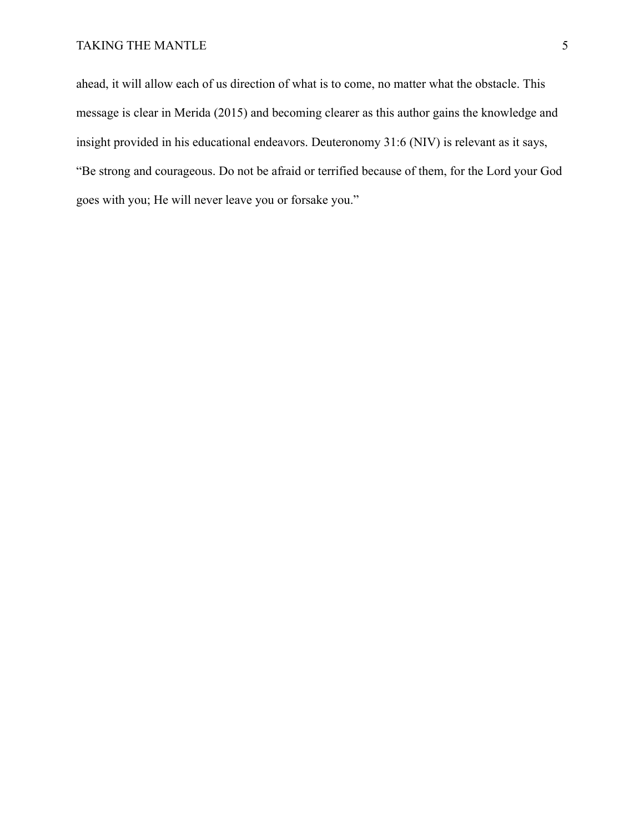ahead, it will allow each of us direction of what is to come, no matter what the obstacle. This message is clear in Merida (2015) and becoming clearer as this author gains the knowledge and insight provided in his educational endeavors. Deuteronomy 31:6 (NIV) is relevant as it says, "Be strong and courageous. Do not be afraid or terrified because of them, for the Lord your God goes with you; He will never leave you or forsake you."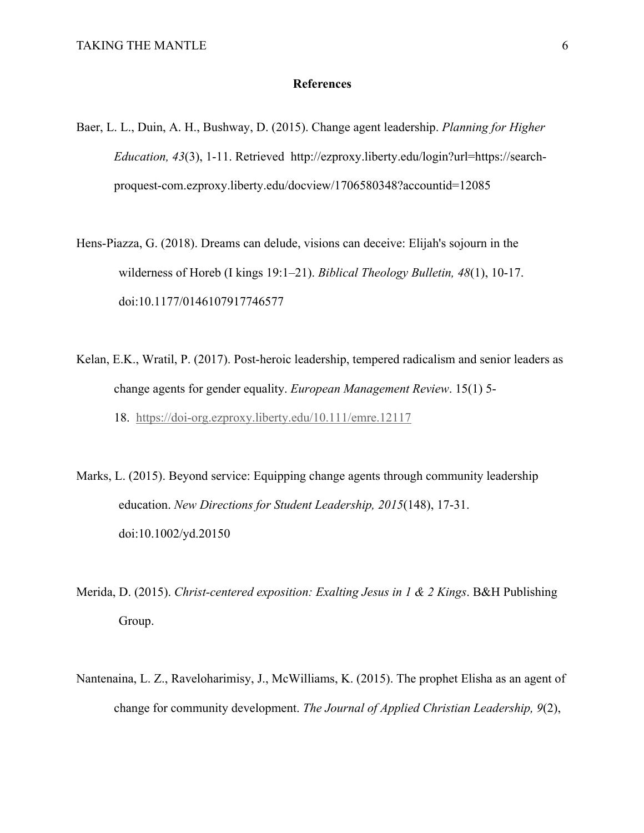## **References**

- Baer, L. L., Duin, A. H., Bushway, D. (2015). Change agent leadership. *Planning for Higher Education, 43*(3), 1-11. Retrieved http://ezproxy.liberty.edu/login?url=https://searchproquest-com.ezproxy.liberty.edu/docview/1706580348?accountid=12085
- Hens-Piazza, G. (2018). Dreams can delude, visions can deceive: Elijah's sojourn in the wilderness of Horeb (I kings 19:1–21). *Biblical Theology Bulletin, 48*(1), 10-17. doi:10.1177/0146107917746577
- Kelan, E.K., Wratil, P. (2017). Post-heroic leadership, tempered radicalism and senior leaders as change agents for gender equality. *European Management Review*. 15(1) 5- 18. https://doi-org.ezproxy.liberty.edu/10.111/emre.12117
- Marks, L. (2015). Beyond service: Equipping change agents through community leadership education. *New Directions for Student Leadership, 2015*(148), 17-31. doi:10.1002/yd.20150
- Merida, D. (2015). *Christ-centered exposition: Exalting Jesus in 1 & 2 Kings*. B&H Publishing Group.
- Nantenaina, L. Z., Raveloharimisy, J., McWilliams, K. (2015). The prophet Elisha as an agent of change for community development. *The Journal of Applied Christian Leadership, 9*(2),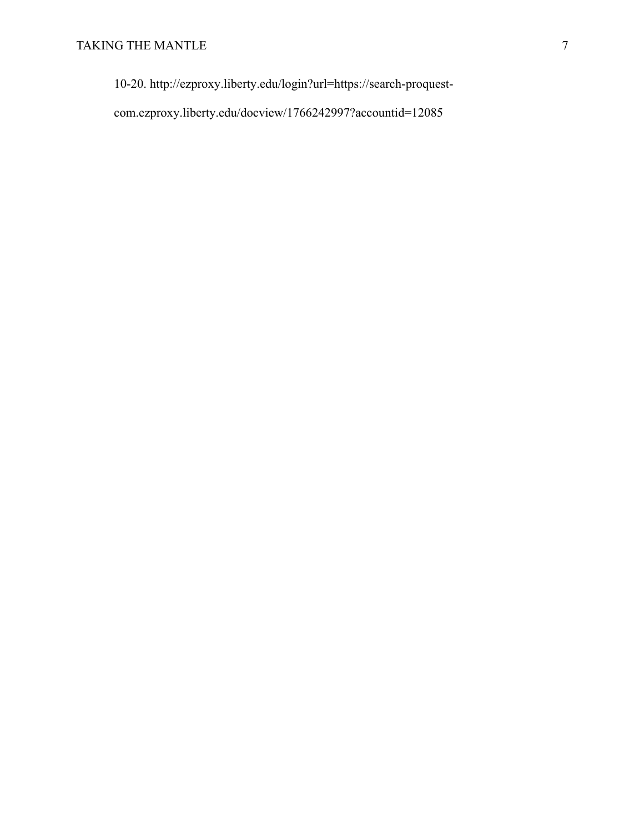10-20. http://ezproxy.liberty.edu/login?url=https://search-proquest-

com.ezproxy.liberty.edu/docview/1766242997?accountid=12085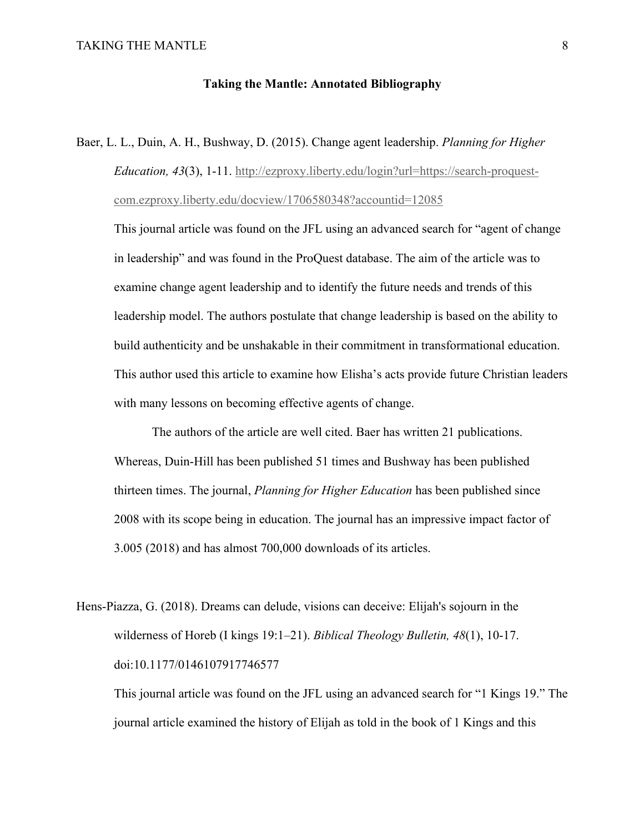## **Taking the Mantle: Annotated Bibliography**

Baer, L. L., Duin, A. H., Bushway, D. (2015). Change agent leadership. *Planning for Higher Education, 43*(3), 1-11. http://ezproxy.liberty.edu/login?url=https://search-proquestcom.ezproxy.liberty.edu/docview/1706580348?accountid=12085

This journal article was found on the JFL using an advanced search for "agent of change in leadership" and was found in the ProQuest database. The aim of the article was to examine change agent leadership and to identify the future needs and trends of this leadership model. The authors postulate that change leadership is based on the ability to build authenticity and be unshakable in their commitment in transformational education. This author used this article to examine how Elisha's acts provide future Christian leaders with many lessons on becoming effective agents of change.

The authors of the article are well cited. Baer has written 21 publications. Whereas, Duin-Hill has been published 51 times and Bushway has been published thirteen times. The journal, *Planning for Higher Education* has been published since 2008 with its scope being in education. The journal has an impressive impact factor of 3.005 (2018) and has almost 700,000 downloads of its articles.

Hens-Piazza, G. (2018). Dreams can delude, visions can deceive: Elijah's sojourn in the wilderness of Horeb (I kings 19:1–21). *Biblical Theology Bulletin, 48*(1), 10-17. doi:10.1177/0146107917746577

This journal article was found on the JFL using an advanced search for "1 Kings 19." The journal article examined the history of Elijah as told in the book of 1 Kings and this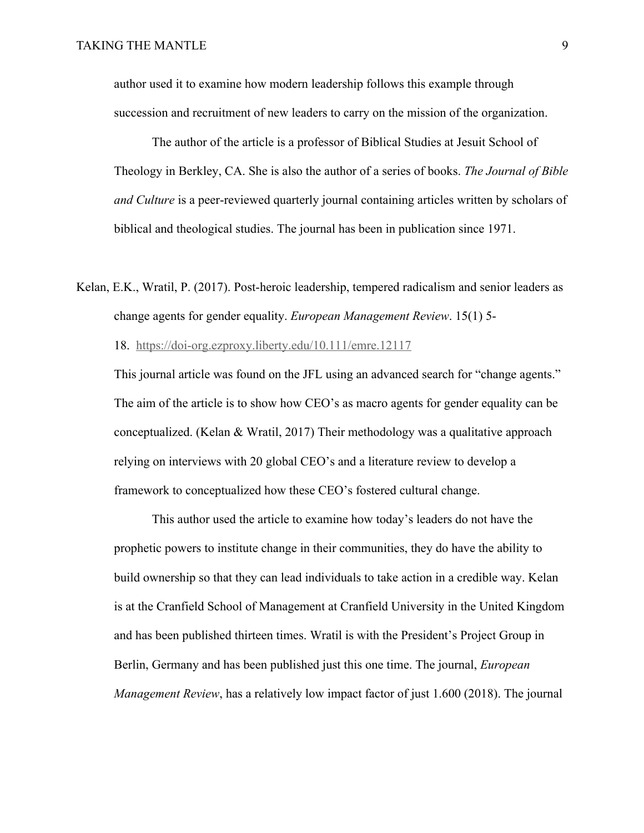author used it to examine how modern leadership follows this example through succession and recruitment of new leaders to carry on the mission of the organization.

The author of the article is a professor of Biblical Studies at Jesuit School of Theology in Berkley, CA. She is also the author of a series of books. *The Journal of Bible and Culture* is a peer-reviewed quarterly journal containing articles written by scholars of biblical and theological studies. The journal has been in publication since 1971.

Kelan, E.K., Wratil, P. (2017). Post-heroic leadership, tempered radicalism and senior leaders as change agents for gender equality. *European Management Review*. 15(1) 5-

18. https://doi-org.ezproxy.liberty.edu/10.111/emre.12117

This journal article was found on the JFL using an advanced search for "change agents." The aim of the article is to show how CEO's as macro agents for gender equality can be conceptualized. (Kelan & Wratil, 2017) Their methodology was a qualitative approach relying on interviews with 20 global CEO's and a literature review to develop a framework to conceptualized how these CEO's fostered cultural change.

This author used the article to examine how today's leaders do not have the prophetic powers to institute change in their communities, they do have the ability to build ownership so that they can lead individuals to take action in a credible way. Kelan is at the Cranfield School of Management at Cranfield University in the United Kingdom and has been published thirteen times. Wratil is with the President's Project Group in Berlin, Germany and has been published just this one time. The journal, *European Management Review*, has a relatively low impact factor of just 1.600 (2018). The journal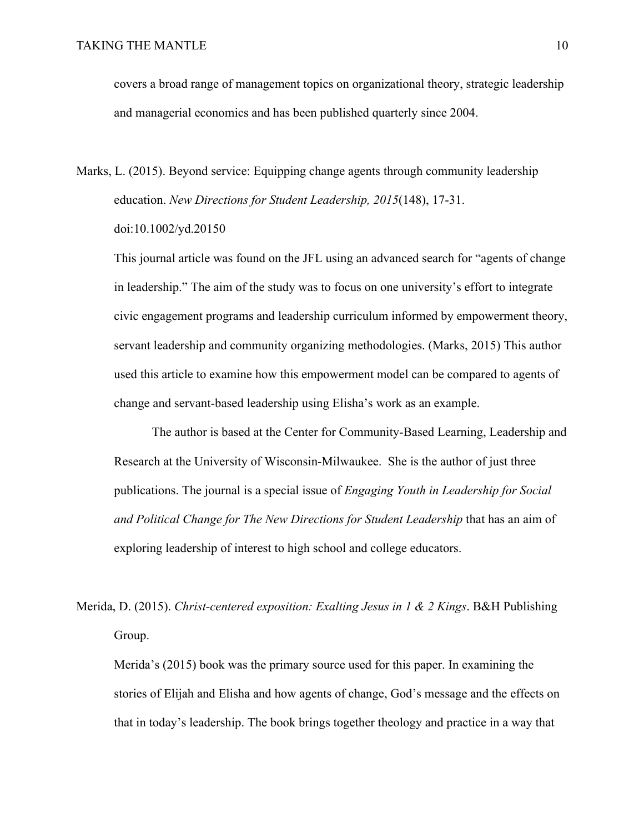covers a broad range of management topics on organizational theory, strategic leadership and managerial economics and has been published quarterly since 2004.

Marks, L. (2015). Beyond service: Equipping change agents through community leadership education. *New Directions for Student Leadership, 2015*(148), 17-31. doi:10.1002/yd.20150

This journal article was found on the JFL using an advanced search for "agents of change in leadership." The aim of the study was to focus on one university's effort to integrate civic engagement programs and leadership curriculum informed by empowerment theory, servant leadership and community organizing methodologies. (Marks, 2015) This author used this article to examine how this empowerment model can be compared to agents of change and servant-based leadership using Elisha's work as an example.

The author is based at the Center for Community-Based Learning, Leadership and Research at the University of Wisconsin-Milwaukee. She is the author of just three publications. The journal is a special issue of *Engaging Youth in Leadership for Social and Political Change for The New Directions for Student Leadership* that has an aim of exploring leadership of interest to high school and college educators.

Merida, D. (2015). *Christ-centered exposition: Exalting Jesus in 1 & 2 Kings*. B&H Publishing Group.

Merida's (2015) book was the primary source used for this paper. In examining the stories of Elijah and Elisha and how agents of change, God's message and the effects on that in today's leadership. The book brings together theology and practice in a way that